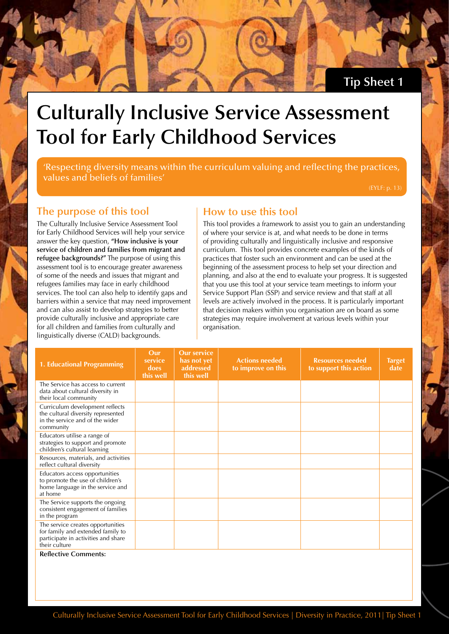# **Culturally Inclusive Service Assessment Tool for Early Childhood Services**

'Respecting diversity means within the curriculum valuing and reflecting the practices, values and beliefs of families'

### **The purpose of this tool**

for Early Childhood Services will help your service<br>
answer the key question, **"How inclusive is your contained by the formulation** of providing culturally and linguistica refugee backgrounds?" The purpose of using this<br>assessment tool is to encourage greater awareness The Culturally Inclusive Service Assessment Tool for Early Childhood Services will help your service **service of children and families from migrant and refugee backgrounds?"** The purpose of using this of some of the needs and issues that migrant and refugees families may face in early childhood services. The tool can also help to identify gaps and barriers within a service that may need improvement and can also assist to develop strategies to better provide culturally inclusive and appropriate care for all children and families from culturally and linguistically diverse (CALD) backgrounds.

#### **How to use this tool**

This tool provides a framework to assist you to gain an understanding of where your service is at, and what needs to be done in terms of providing culturally and linguistically inclusive and responsive curriculum. This tool provides concrete examples of the kinds of practices that foster such an environment and can be used at the beginning of the assessment process to help set your direction and planning, and also at the end to evaluate your progress. It is suggested that you use this tool at your service team meetings to inform your Service Support Plan (SSP) and service review and that staff at all levels are actively involved in the process. It is particularly important that decision makers within you organisation are on board as some strategies may require involvement at various levels within your organisation.

| Our<br>service<br>does<br>this well | <b>Our service</b><br>has not yet<br>addressed<br>this well | <b>Actions needed</b><br>to improve on this | <b>Resources needed</b><br>to support this action | <b>Target</b><br>date |
|-------------------------------------|-------------------------------------------------------------|---------------------------------------------|---------------------------------------------------|-----------------------|
|                                     |                                                             |                                             |                                                   |                       |
|                                     |                                                             |                                             |                                                   |                       |
|                                     |                                                             |                                             |                                                   |                       |
|                                     |                                                             |                                             |                                                   |                       |
|                                     |                                                             |                                             |                                                   |                       |
|                                     |                                                             |                                             |                                                   |                       |
|                                     |                                                             |                                             |                                                   |                       |
|                                     |                                                             |                                             |                                                   |                       |

**Reflective Comments:**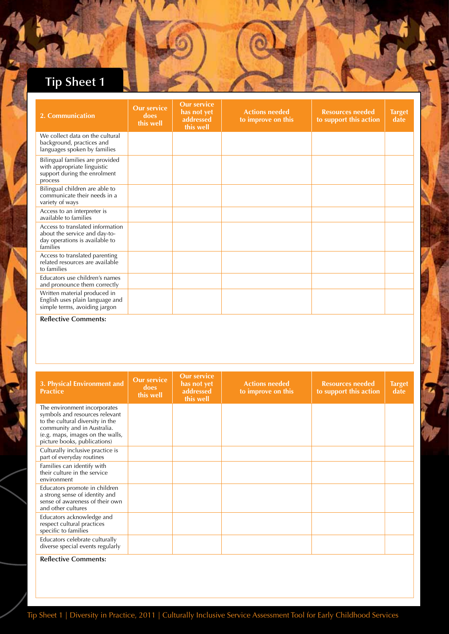| 2. Communication                                                                                                | <b>Our service</b><br>does<br>this well | <b>Our service</b><br>has not yet<br>addressed<br>this well | <b>Actions needed</b><br>to improve on this | <b>Resources needed</b><br>to support this action | <b>Target</b><br>date |
|-----------------------------------------------------------------------------------------------------------------|-----------------------------------------|-------------------------------------------------------------|---------------------------------------------|---------------------------------------------------|-----------------------|
| We collect data on the cultural<br>background, practices and<br>languages spoken by families                    |                                         |                                                             |                                             |                                                   |                       |
| Bilingual families are provided<br>with appropriate linguistic<br>support during the enrolment<br>process       |                                         |                                                             |                                             |                                                   |                       |
| Bilingual children are able to<br>communicate their needs in a<br>variety of ways                               |                                         |                                                             |                                             |                                                   |                       |
| Access to an interpreter is<br>available to families                                                            |                                         |                                                             |                                             |                                                   |                       |
| Access to translated information<br>about the service and day-to-<br>day operations is available to<br>families |                                         |                                                             |                                             |                                                   |                       |
| Access to translated parenting<br>related resources are available<br>to families                                |                                         |                                                             |                                             |                                                   |                       |
| Educators use children's names<br>and pronounce them correctly                                                  |                                         |                                                             |                                             |                                                   |                       |
| Written material produced in<br>English uses plain language and<br>simple terms, avoiding jargon                |                                         |                                                             |                                             |                                                   |                       |

**Reflective Comments:**

| 3. Physical Environment and<br><b>Practice</b>                                                                                                                                                        | <b>Our service</b><br>does<br>this well | <b>Our service</b><br>has not yet<br>addressed<br>this well | <b>Actions needed</b><br>to improve on this | <b>Resources needed</b><br>to support this action | <b>Target</b><br>date |
|-------------------------------------------------------------------------------------------------------------------------------------------------------------------------------------------------------|-----------------------------------------|-------------------------------------------------------------|---------------------------------------------|---------------------------------------------------|-----------------------|
| The environment incorporates<br>symbols and resources relevant<br>to the cultural diversity in the<br>community and in Australia.<br>(e.g. maps, images on the walls,<br>picture books, publications) |                                         |                                                             |                                             |                                                   |                       |
| Culturally inclusive practice is<br>part of everyday routines                                                                                                                                         |                                         |                                                             |                                             |                                                   |                       |
| Families can identify with<br>their culture in the service<br>environment                                                                                                                             |                                         |                                                             |                                             |                                                   |                       |
| Educators promote in children<br>a strong sense of identity and<br>sense of awareness of their own<br>and other cultures                                                                              |                                         |                                                             |                                             |                                                   |                       |
| Educators acknowledge and<br>respect cultural practices<br>specific to families                                                                                                                       |                                         |                                                             |                                             |                                                   |                       |
| Educators celebrate culturally<br>diverse special events regularly                                                                                                                                    |                                         |                                                             |                                             |                                                   |                       |

**Reflective Comments:**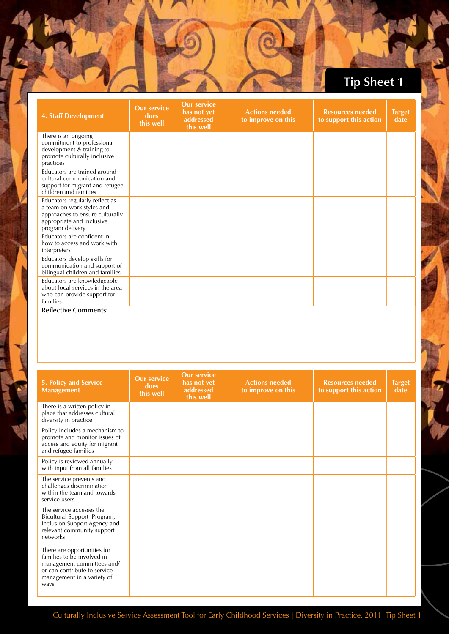| <b>4. Staff Development</b>                                                                                                                     | <b>Our service</b><br>does<br>this well | <b>Our service</b><br>has not yet<br>addressed<br>this well | <b>Actions needed</b><br>to improve on this | <b>Resources needed</b><br>to support this action | <b>Target</b><br>date |
|-------------------------------------------------------------------------------------------------------------------------------------------------|-----------------------------------------|-------------------------------------------------------------|---------------------------------------------|---------------------------------------------------|-----------------------|
| There is an ongoing<br>commitment to professional<br>development & training to<br>promote culturally inclusive<br>practices                     |                                         |                                                             |                                             |                                                   |                       |
| Educators are trained around<br>cultural communication and<br>support for migrant and refugee<br>children and families                          |                                         |                                                             |                                             |                                                   |                       |
| Educators regularly reflect as<br>a team on work styles and<br>approaches to ensure culturally<br>appropriate and inclusive<br>program delivery |                                         |                                                             |                                             |                                                   |                       |
| Educators are confident in<br>how to access and work with<br>interpreters                                                                       |                                         |                                                             |                                             |                                                   |                       |
| Educators develop skills for<br>communication and support of<br>bilingual children and families                                                 |                                         |                                                             |                                             |                                                   |                       |
| Educators are knowledgeable<br>about local services in the area<br>who can provide support for<br>families<br>.                                 |                                         |                                                             |                                             |                                                   |                       |

**Reflective Comments:**

| 5. Policy and Service<br><b>Management</b>                                                                                                                    | <b>Our service</b><br>does<br>this well | <b>Our service</b><br>has not yet<br>addressed<br>this well | <b>Actions needed</b><br>to improve on this | <b>Resources needed</b><br>to support this action | <b>Target</b><br>date |
|---------------------------------------------------------------------------------------------------------------------------------------------------------------|-----------------------------------------|-------------------------------------------------------------|---------------------------------------------|---------------------------------------------------|-----------------------|
| There is a written policy in<br>place that addresses cultural<br>diversity in practice                                                                        |                                         |                                                             |                                             |                                                   |                       |
| Policy includes a mechanism to<br>promote and monitor issues of<br>access and equity for migrant<br>and refugee families                                      |                                         |                                                             |                                             |                                                   |                       |
| Policy is reviewed annually<br>with input from all families                                                                                                   |                                         |                                                             |                                             |                                                   |                       |
| The service prevents and<br>challenges discrimination<br>within the team and towards<br>service users                                                         |                                         |                                                             |                                             |                                                   |                       |
| The service accesses the<br>Bicultural Support Program,<br>Inclusion Support Agency and<br>relevant community support<br>networks                             |                                         |                                                             |                                             |                                                   |                       |
| There are opportunities for<br>families to be involved in<br>management committees and/<br>or can contribute to service<br>management in a variety of<br>ways |                                         |                                                             |                                             |                                                   |                       |